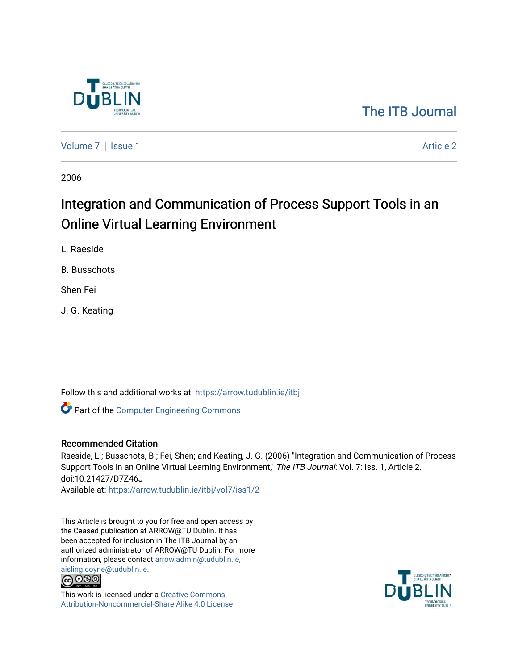

## [The ITB Journal](https://arrow.tudublin.ie/itbj)

[Volume 7](https://arrow.tudublin.ie/itbj/vol7) | [Issue 1](https://arrow.tudublin.ie/itbj/vol7/iss1) Article 2

2006

# Integration and Communication of Process Support Tools in an Online Virtual Learning Environment

L. Raeside

B. Busschots

Shen Fei

J. G. Keating

Follow this and additional works at: [https://arrow.tudublin.ie/itbj](https://arrow.tudublin.ie/itbj?utm_source=arrow.tudublin.ie%2Fitbj%2Fvol7%2Fiss1%2F2&utm_medium=PDF&utm_campaign=PDFCoverPages) 

Part of the [Computer Engineering Commons](http://network.bepress.com/hgg/discipline/258?utm_source=arrow.tudublin.ie%2Fitbj%2Fvol7%2Fiss1%2F2&utm_medium=PDF&utm_campaign=PDFCoverPages) 

#### Recommended Citation

Raeside, L.; Busschots, B.; Fei, Shen; and Keating, J. G. (2006) "Integration and Communication of Process Support Tools in an Online Virtual Learning Environment," The ITB Journal: Vol. 7: Iss. 1, Article 2. doi:10.21427/D7Z46J Available at: [https://arrow.tudublin.ie/itbj/vol7/iss1/2](https://arrow.tudublin.ie/itbj/vol7/iss1/2?utm_source=arrow.tudublin.ie%2Fitbj%2Fvol7%2Fiss1%2F2&utm_medium=PDF&utm_campaign=PDFCoverPages) 

This Article is brought to you for free and open access by the Ceased publication at ARROW@TU Dublin. It has been accepted for inclusion in The ITB Journal by an authorized administrator of ARROW@TU Dublin. For more information, please contact [arrow.admin@tudublin.ie,](mailto:arrow.admin@tudublin.ie,%20aisling.coyne@tudublin.ie) 



This work is licensed under a [Creative Commons](http://creativecommons.org/licenses/by-nc-sa/4.0/) [Attribution-Noncommercial-Share Alike 4.0 License](http://creativecommons.org/licenses/by-nc-sa/4.0/)

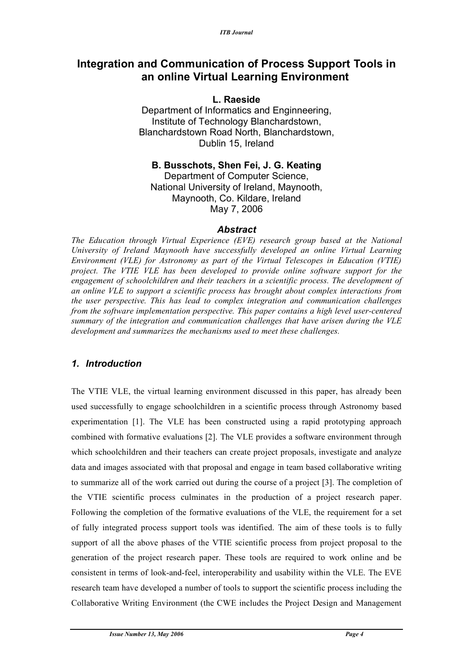## **Integration and Communication of Process Support Tools in an online Virtual Learning Environment**

#### **L. Raeside**

Department of Informatics and Enginneering, Institute of Technology Blanchardstown, Blanchardstown Road North, Blanchardstown, Dublin 15, Ireland

#### **B. Busschots, Shen Fei, J. G. Keating** Department of Computer Science,

National University of Ireland, Maynooth, Maynooth, Co. Kildare, Ireland May 7, 2006

#### *Abstract*

*The Education through Virtual Experience (EVE) research group based at the National University of Ireland Maynooth have successfully developed an online Virtual Learning Environment (VLE) for Astronomy as part of the Virtual Telescopes in Education (VTIE) project. The VTIE VLE has been developed to provide online software support for the engagement of schoolchildren and their teachers in a scientific process. The development of an online VLE to support a scientific process has brought about complex interactions from the user perspective. This has lead to complex integration and communication challenges from the software implementation perspective. This paper contains a high level user-centered summary of the integration and communication challenges that have arisen during the VLE development and summarizes the mechanisms used to meet these challenges.*

## *1. Introduction*

The VTIE VLE, the virtual learning environment discussed in this paper, has already been used successfully to engage schoolchildren in a scientific process through Astronomy based experimentation [1]. The VLE has been constructed using a rapid prototyping approach combined with formative evaluations [2]. The VLE provides a software environment through which schoolchildren and their teachers can create project proposals, investigate and analyze data and images associated with that proposal and engage in team based collaborative writing to summarize all of the work carried out during the course of a project [3]. The completion of the VTIE scientific process culminates in the production of a project research paper. Following the completion of the formative evaluations of the VLE, the requirement for a set of fully integrated process support tools was identified. The aim of these tools is to fully support of all the above phases of the VTIE scientific process from project proposal to the generation of the project research paper. These tools are required to work online and be consistent in terms of look-and-feel, interoperability and usability within the VLE. The EVE research team have developed a number of tools to support the scientific process including the Collaborative Writing Environment (the CWE includes the Project Design and Management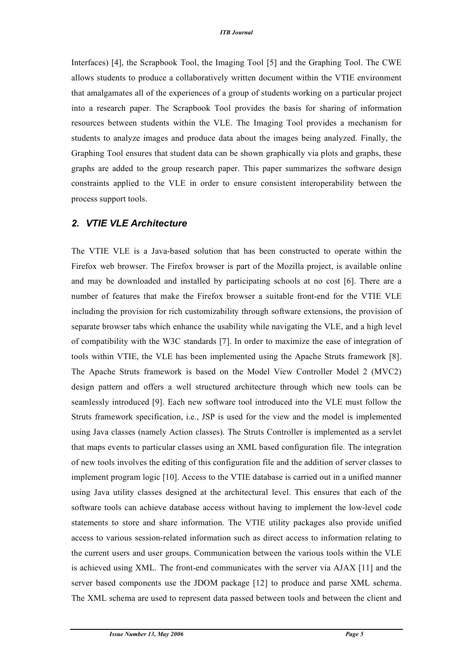Interfaces) [4], the Scrapbook Tool, the Imaging Tool [5] and the Graphing Tool. The CWE allows students to produce a collaboratively written document within the VTIE environment that amalgamates all of the experiences of a group of students working on a particular project into a research paper. The Scrapbook Tool provides the basis for sharing of information resources between students within the VLE. The Imaging Tool provides a mechanism for students to analyze images and produce data about the images being analyzed. Finally, the Graphing Tool ensures that student data can be shown graphically via plots and graphs, these graphs are added to the group research paper. This paper summarizes the software design constraints applied to the VLE in order to ensure consistent interoperability between the process support tools.

#### *2. VTIE VLE Architecture*

The VTIE VLE is a Java-based solution that has been constructed to operate within the Firefox web browser. The Firefox browser is part of the Mozilla project, is available online and may be downloaded and installed by participating schools at no cost [6]. There are a number of features that make the Firefox browser a suitable front-end for the VTIE VLE including the provision for rich customizability through software extensions, the provision of separate browser tabs which enhance the usability while navigating the VLE, and a high level of compatibility with the W3C standards [7]. In order to maximize the ease of integration of tools within VTIE, the VLE has been implemented using the Apache Struts framework [8]. The Apache Struts framework is based on the Model View Controller Model 2 (MVC2) design pattern and offers a well structured architecture through which new tools can be seamlessly introduced [9]. Each new software tool introduced into the VLE must follow the Struts framework specification, i.e., JSP is used for the view and the model is implemented using Java classes (namely Action classes). The Struts Controller is implemented as a servlet that maps events to particular classes using an XML based configuration file. The integration of new tools involves the editing of this configuration file and the addition of server classes to implement program logic [10]. Access to the VTIE database is carried out in a unified manner using Java utility classes designed at the architectural level. This ensures that each of the software tools can achieve database access without having to implement the low-level code statements to store and share information. The VTIE utility packages also provide unified access to various session-related information such as direct access to information relating to the current users and user groups. Communication between the various tools within the VLE is achieved using XML. The front-end communicates with the server via AJAX [11] and the server based components use the JDOM package [12] to produce and parse XML schema. The XML schema are used to represent data passed between tools and between the client and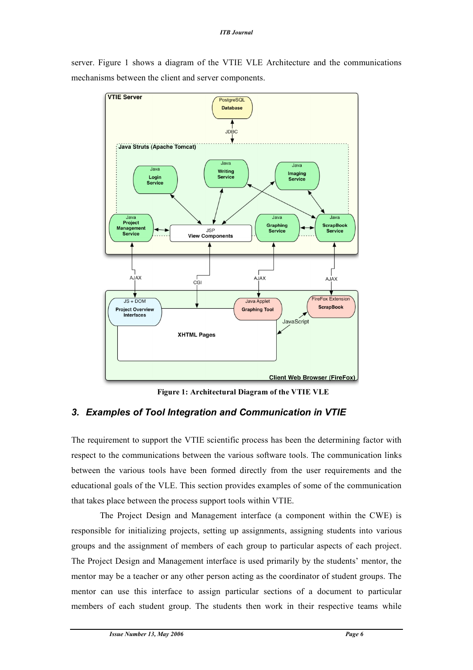server. Figure 1 shows a diagram of the VTIE VLE Architecture and the communications mechanisms between the client and server components.



**Figure 1: Architectural Diagram of the VTIE VLE**

## *3. Examples of Tool Integration and Communication in VTIE*

The requirement to support the VTIE scientific process has been the determining factor with respect to the communications between the various software tools. The communication links between the various tools have been formed directly from the user requirements and the educational goals of the VLE. This section provides examples of some of the communication that takes place between the process support tools within VTIE.

The Project Design and Management interface (a component within the CWE) is responsible for initializing projects, setting up assignments, assigning students into various groups and the assignment of members of each group to particular aspects of each project. The Project Design and Management interface is used primarily by the students' mentor, the mentor may be a teacher or any other person acting as the coordinator of student groups. The mentor can use this interface to assign particular sections of a document to particular members of each student group. The students then work in their respective teams while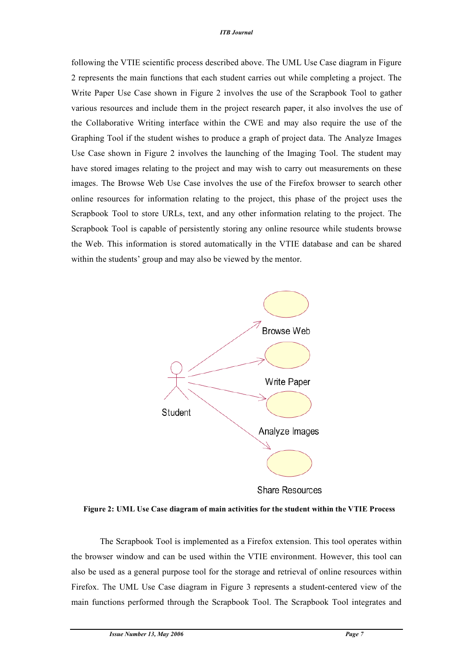following the VTIE scientific process described above. The UML Use Case diagram in Figure 2 represents the main functions that each student carries out while completing a project. The Write Paper Use Case shown in Figure 2 involves the use of the Scrapbook Tool to gather various resources and include them in the project research paper, it also involves the use of the Collaborative Writing interface within the CWE and may also require the use of the Graphing Tool if the student wishes to produce a graph of project data. The Analyze Images Use Case shown in Figure 2 involves the launching of the Imaging Tool. The student may have stored images relating to the project and may wish to carry out measurements on these images. The Browse Web Use Case involves the use of the Firefox browser to search other online resources for information relating to the project, this phase of the project uses the Scrapbook Tool to store URLs, text, and any other information relating to the project. The Scrapbook Tool is capable of persistently storing any online resource while students browse the Web. This information is stored automatically in the VTIE database and can be shared within the students' group and may also be viewed by the mentor.



**Share Resources** 

**Figure 2: UML Use Case diagram of main activities for the student within the VTIE Process**

The Scrapbook Tool is implemented as a Firefox extension. This tool operates within the browser window and can be used within the VTIE environment. However, this tool can also be used as a general purpose tool for the storage and retrieval of online resources within Firefox. The UML Use Case diagram in Figure 3 represents a student-centered view of the main functions performed through the Scrapbook Tool. The Scrapbook Tool integrates and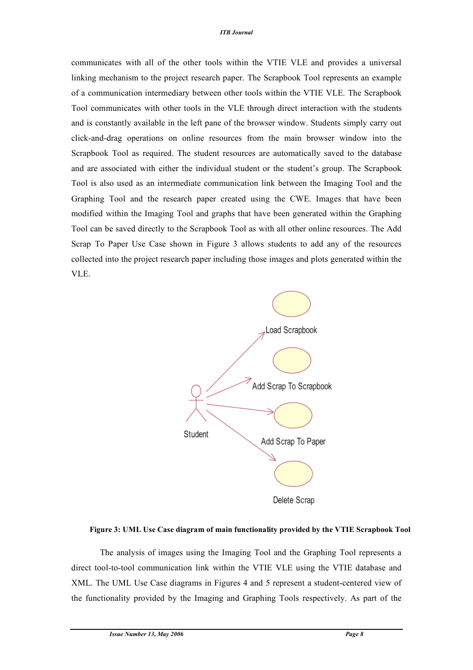communicates with all of the other tools within the VTIE VLE and provides a universal linking mechanism to the project research paper. The Scrapbook Tool represents an example of a communication intermediary between other tools within the VTIE VLE. The Scrapbook Tool communicates with other tools in the VLE through direct interaction with the students and is constantly available in the left pane of the browser window. Students simply carry out click-and-drag operations on online resources from the main browser window into the Scrapbook Tool as required. The student resources are automatically saved to the database and are associated with either the individual student or the student's group. The Scrapbook Tool is also used as an intermediate communication link between the Imaging Tool and the Graphing Tool and the research paper created using the CWE. Images that have been modified within the Imaging Tool and graphs that have been generated within the Graphing Tool can be saved directly to the Scrapbook Tool as with all other online resources. The Add Scrap To Paper Use Case shown in Figure 3 allows students to add any of the resources collected into the project research paper including those images and plots generated within the VLE.



**Figure 3: UML Use Case diagram of main functionality provided by the VTIE Scrapbook Tool**

The analysis of images using the Imaging Tool and the Graphing Tool represents a direct tool-to-tool communication link within the VTIE VLE using the VTIE database and XML. The UML Use Case diagrams in Figures 4 and 5 represent a student-centered view of the functionality provided by the Imaging and Graphing Tools respectively. As part of the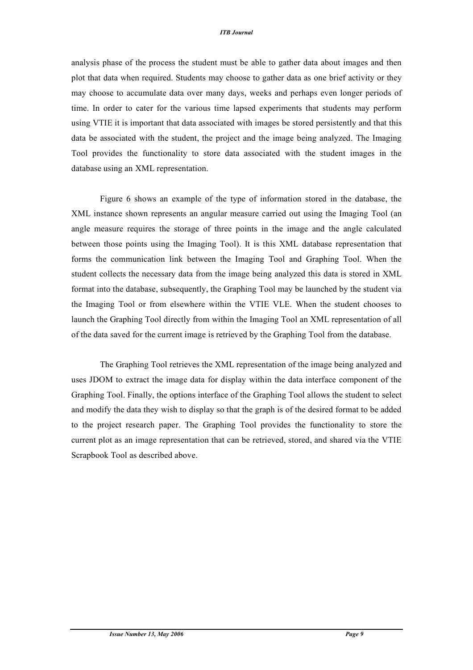#### *ITB Journal*

analysis phase of the process the student must be able to gather data about images and then plot that data when required. Students may choose to gather data as one brief activity or they may choose to accumulate data over many days, weeks and perhaps even longer periods of time. In order to cater for the various time lapsed experiments that students may perform using VTIE it is important that data associated with images be stored persistently and that this data be associated with the student, the project and the image being analyzed. The Imaging Tool provides the functionality to store data associated with the student images in the database using an XML representation.

Figure 6 shows an example of the type of information stored in the database, the XML instance shown represents an angular measure carried out using the Imaging Tool (an angle measure requires the storage of three points in the image and the angle calculated between those points using the Imaging Tool). It is this XML database representation that forms the communication link between the Imaging Tool and Graphing Tool. When the student collects the necessary data from the image being analyzed this data is stored in XML format into the database, subsequently, the Graphing Tool may be launched by the student via the Imaging Tool or from elsewhere within the VTIE VLE. When the student chooses to launch the Graphing Tool directly from within the Imaging Tool an XML representation of all of the data saved for the current image is retrieved by the Graphing Tool from the database.

The Graphing Tool retrieves the XML representation of the image being analyzed and uses JDOM to extract the image data for display within the data interface component of the Graphing Tool. Finally, the options interface of the Graphing Tool allows the student to select and modify the data they wish to display so that the graph is of the desired format to be added to the project research paper. The Graphing Tool provides the functionality to store the current plot as an image representation that can be retrieved, stored, and shared via the VTIE Scrapbook Tool as described above.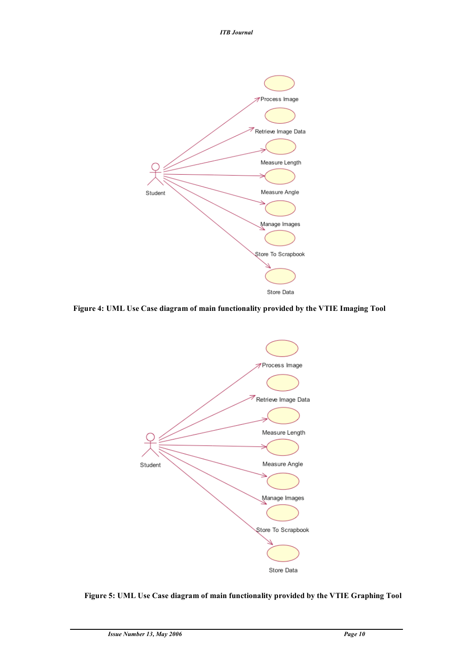*ITB Journal*



**Figure 4: UML Use Case diagram of main functionality provided by the VTIE Imaging Tool**



**Figure 5: UML Use Case diagram of main functionality provided by the VTIE Graphing Tool**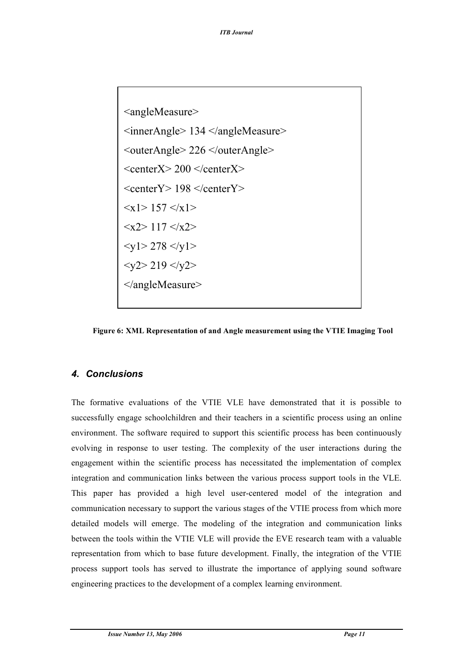

**Figure 6: XML Representation of and Angle measurement using the VTIE Imaging Tool**

#### *4. Conclusions*

The formative evaluations of the VTIE VLE have demonstrated that it is possible to successfully engage schoolchildren and their teachers in a scientific process using an online environment. The software required to support this scientific process has been continuously evolving in response to user testing. The complexity of the user interactions during the engagement within the scientific process has necessitated the implementation of complex integration and communication links between the various process support tools in the VLE. This paper has provided a high level user-centered model of the integration and communication necessary to support the various stages of the VTIE process from which more detailed models will emerge. The modeling of the integration and communication links between the tools within the VTIE VLE will provide the EVE research team with a valuable representation from which to base future development. Finally, the integration of the VTIE process support tools has served to illustrate the importance of applying sound software engineering practices to the development of a complex learning environment.